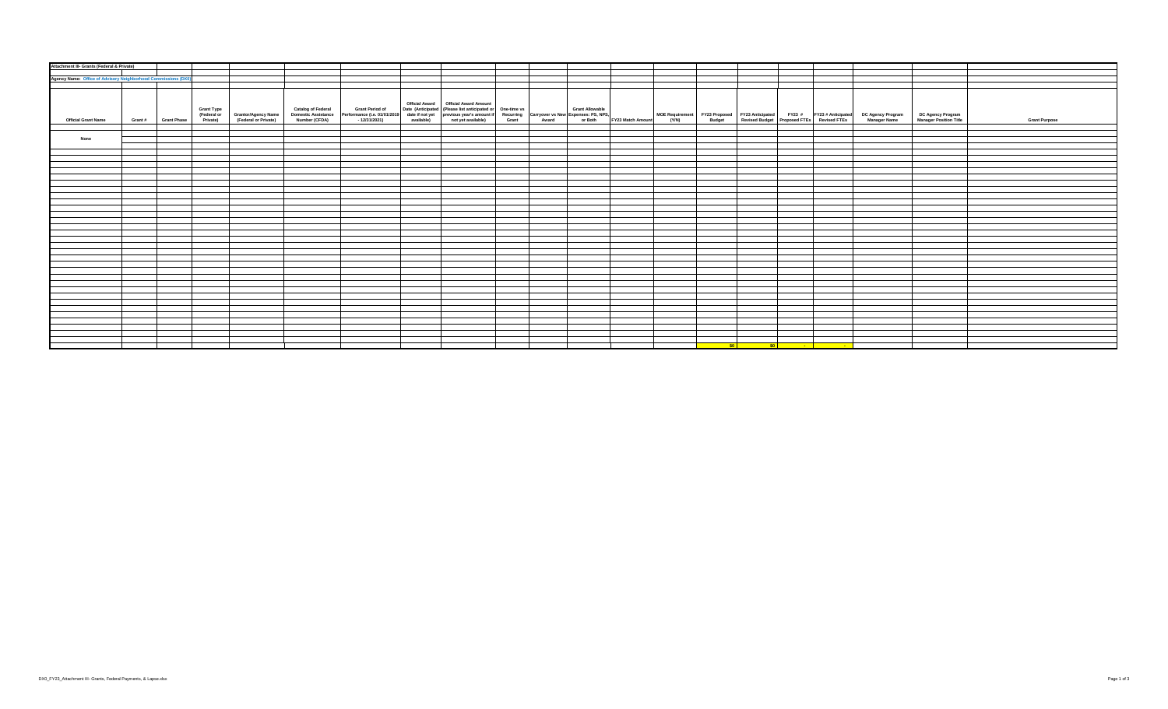| Attachment III- Grants (Federal & Private)                     |                     |                   |                                             |                                      |                                                                           |                                                                                                                                                                                                                             |  |  |  |  |                        |                                                                                                                                                               |                                             |                      |
|----------------------------------------------------------------|---------------------|-------------------|---------------------------------------------|--------------------------------------|---------------------------------------------------------------------------|-----------------------------------------------------------------------------------------------------------------------------------------------------------------------------------------------------------------------------|--|--|--|--|------------------------|---------------------------------------------------------------------------------------------------------------------------------------------------------------|---------------------------------------------|----------------------|
|                                                                |                     |                   |                                             |                                      |                                                                           |                                                                                                                                                                                                                             |  |  |  |  |                        |                                                                                                                                                               |                                             |                      |
|                                                                |                     |                   |                                             |                                      |                                                                           |                                                                                                                                                                                                                             |  |  |  |  |                        |                                                                                                                                                               |                                             |                      |
| Agency Name: Office of Advisory Neighborhood Commissions (DX0) |                     |                   |                                             |                                      |                                                                           |                                                                                                                                                                                                                             |  |  |  |  |                        |                                                                                                                                                               |                                             |                      |
|                                                                |                     |                   |                                             |                                      |                                                                           |                                                                                                                                                                                                                             |  |  |  |  |                        |                                                                                                                                                               |                                             |                      |
|                                                                |                     |                   |                                             |                                      |                                                                           |                                                                                                                                                                                                                             |  |  |  |  |                        |                                                                                                                                                               |                                             |                      |
|                                                                |                     |                   |                                             |                                      |                                                                           |                                                                                                                                                                                                                             |  |  |  |  |                        |                                                                                                                                                               |                                             |                      |
|                                                                |                     |                   |                                             |                                      |                                                                           | Official Award   Official Award Amount                                                                                                                                                                                      |  |  |  |  |                        |                                                                                                                                                               |                                             |                      |
|                                                                |                     | <b>Grant Type</b> |                                             | <b>Catalog of Federal</b>            | <b>Grant Period of</b>                                                    |                                                                                                                                                                                                                             |  |  |  |  |                        |                                                                                                                                                               |                                             |                      |
|                                                                |                     | (Federal or       |                                             |                                      |                                                                           |                                                                                                                                                                                                                             |  |  |  |  |                        |                                                                                                                                                               |                                             |                      |
| <b>Official Grant Name</b>                                     | Grant # Grant Phase | Private)          | Grantor/Agency Name<br>(Federal or Private) | Domestic Assistance<br>Number (CFDA) | Performance (i.e. 01/01/2019) date if not yet<br>- 12/31/2021) available) | Date (Anticipated (Please list anticipated or One-time vs   Grant Allowable   Grass   Gase if not yer   previous year's amount if Recurring Carryover vs New Expenses: PS, NPS,   axis   available)   available   available |  |  |  |  |                        | MOE Requirement FY23 Proposed FY23 Anticipated FY23 # FY23 #Anticipated DC Agency Program (Y/N) Budget Revised Budget Proposed FTEs Revised FTEs Manager Name | DC Agency Program<br>Manager Position Title | <b>Grant Purpose</b> |
|                                                                |                     |                   |                                             |                                      |                                                                           |                                                                                                                                                                                                                             |  |  |  |  |                        |                                                                                                                                                               |                                             |                      |
|                                                                |                     |                   |                                             |                                      |                                                                           |                                                                                                                                                                                                                             |  |  |  |  |                        |                                                                                                                                                               |                                             |                      |
|                                                                |                     |                   |                                             |                                      |                                                                           |                                                                                                                                                                                                                             |  |  |  |  |                        |                                                                                                                                                               |                                             |                      |
| None                                                           |                     |                   |                                             |                                      |                                                                           |                                                                                                                                                                                                                             |  |  |  |  |                        |                                                                                                                                                               |                                             |                      |
|                                                                |                     |                   |                                             |                                      |                                                                           |                                                                                                                                                                                                                             |  |  |  |  |                        |                                                                                                                                                               |                                             |                      |
|                                                                |                     |                   |                                             |                                      |                                                                           |                                                                                                                                                                                                                             |  |  |  |  |                        |                                                                                                                                                               |                                             |                      |
|                                                                |                     |                   |                                             |                                      |                                                                           |                                                                                                                                                                                                                             |  |  |  |  |                        |                                                                                                                                                               |                                             |                      |
|                                                                |                     |                   |                                             |                                      |                                                                           |                                                                                                                                                                                                                             |  |  |  |  |                        |                                                                                                                                                               |                                             |                      |
|                                                                |                     |                   |                                             |                                      |                                                                           |                                                                                                                                                                                                                             |  |  |  |  |                        |                                                                                                                                                               |                                             |                      |
|                                                                |                     |                   |                                             |                                      |                                                                           |                                                                                                                                                                                                                             |  |  |  |  |                        |                                                                                                                                                               |                                             |                      |
|                                                                |                     |                   |                                             |                                      |                                                                           |                                                                                                                                                                                                                             |  |  |  |  |                        |                                                                                                                                                               |                                             |                      |
|                                                                |                     |                   |                                             |                                      |                                                                           |                                                                                                                                                                                                                             |  |  |  |  |                        |                                                                                                                                                               |                                             |                      |
|                                                                |                     |                   |                                             |                                      |                                                                           |                                                                                                                                                                                                                             |  |  |  |  |                        |                                                                                                                                                               |                                             |                      |
|                                                                |                     |                   |                                             |                                      |                                                                           |                                                                                                                                                                                                                             |  |  |  |  |                        |                                                                                                                                                               |                                             |                      |
|                                                                |                     |                   |                                             |                                      |                                                                           |                                                                                                                                                                                                                             |  |  |  |  |                        |                                                                                                                                                               |                                             |                      |
|                                                                |                     |                   |                                             |                                      |                                                                           |                                                                                                                                                                                                                             |  |  |  |  |                        |                                                                                                                                                               |                                             |                      |
|                                                                |                     |                   |                                             |                                      |                                                                           |                                                                                                                                                                                                                             |  |  |  |  |                        |                                                                                                                                                               |                                             |                      |
|                                                                |                     |                   |                                             |                                      |                                                                           |                                                                                                                                                                                                                             |  |  |  |  |                        |                                                                                                                                                               |                                             |                      |
|                                                                |                     |                   |                                             |                                      |                                                                           |                                                                                                                                                                                                                             |  |  |  |  |                        |                                                                                                                                                               |                                             |                      |
|                                                                |                     |                   |                                             |                                      |                                                                           |                                                                                                                                                                                                                             |  |  |  |  |                        |                                                                                                                                                               |                                             |                      |
|                                                                |                     |                   |                                             |                                      |                                                                           |                                                                                                                                                                                                                             |  |  |  |  |                        |                                                                                                                                                               |                                             |                      |
|                                                                |                     |                   |                                             |                                      |                                                                           |                                                                                                                                                                                                                             |  |  |  |  |                        |                                                                                                                                                               |                                             |                      |
|                                                                |                     |                   |                                             |                                      |                                                                           |                                                                                                                                                                                                                             |  |  |  |  |                        |                                                                                                                                                               |                                             |                      |
|                                                                |                     |                   |                                             |                                      |                                                                           |                                                                                                                                                                                                                             |  |  |  |  |                        |                                                                                                                                                               |                                             |                      |
|                                                                |                     |                   |                                             |                                      |                                                                           |                                                                                                                                                                                                                             |  |  |  |  |                        |                                                                                                                                                               |                                             |                      |
|                                                                |                     |                   |                                             |                                      |                                                                           |                                                                                                                                                                                                                             |  |  |  |  |                        |                                                                                                                                                               |                                             |                      |
|                                                                |                     |                   |                                             |                                      |                                                                           |                                                                                                                                                                                                                             |  |  |  |  |                        |                                                                                                                                                               |                                             |                      |
|                                                                |                     |                   |                                             |                                      |                                                                           |                                                                                                                                                                                                                             |  |  |  |  |                        |                                                                                                                                                               |                                             |                      |
|                                                                |                     |                   |                                             |                                      |                                                                           |                                                                                                                                                                                                                             |  |  |  |  |                        |                                                                                                                                                               |                                             |                      |
|                                                                |                     |                   |                                             |                                      |                                                                           |                                                                                                                                                                                                                             |  |  |  |  |                        |                                                                                                                                                               |                                             |                      |
|                                                                |                     |                   |                                             |                                      |                                                                           |                                                                                                                                                                                                                             |  |  |  |  |                        |                                                                                                                                                               |                                             |                      |
|                                                                |                     |                   |                                             |                                      |                                                                           |                                                                                                                                                                                                                             |  |  |  |  |                        |                                                                                                                                                               |                                             |                      |
|                                                                |                     |                   |                                             |                                      |                                                                           |                                                                                                                                                                                                                             |  |  |  |  |                        |                                                                                                                                                               |                                             |                      |
|                                                                |                     |                   |                                             |                                      |                                                                           |                                                                                                                                                                                                                             |  |  |  |  |                        |                                                                                                                                                               |                                             |                      |
|                                                                |                     |                   |                                             |                                      |                                                                           |                                                                                                                                                                                                                             |  |  |  |  |                        |                                                                                                                                                               |                                             |                      |
|                                                                |                     |                   |                                             |                                      |                                                                           |                                                                                                                                                                                                                             |  |  |  |  |                        |                                                                                                                                                               |                                             |                      |
|                                                                |                     |                   |                                             |                                      |                                                                           |                                                                                                                                                                                                                             |  |  |  |  |                        |                                                                                                                                                               |                                             |                      |
|                                                                |                     |                   |                                             |                                      |                                                                           |                                                                                                                                                                                                                             |  |  |  |  |                        |                                                                                                                                                               |                                             |                      |
|                                                                |                     |                   |                                             |                                      |                                                                           |                                                                                                                                                                                                                             |  |  |  |  |                        |                                                                                                                                                               |                                             |                      |
|                                                                |                     |                   |                                             |                                      |                                                                           |                                                                                                                                                                                                                             |  |  |  |  | <u>sol sol - I - I</u> |                                                                                                                                                               |                                             |                      |
|                                                                |                     |                   |                                             |                                      |                                                                           |                                                                                                                                                                                                                             |  |  |  |  |                        |                                                                                                                                                               |                                             |                      |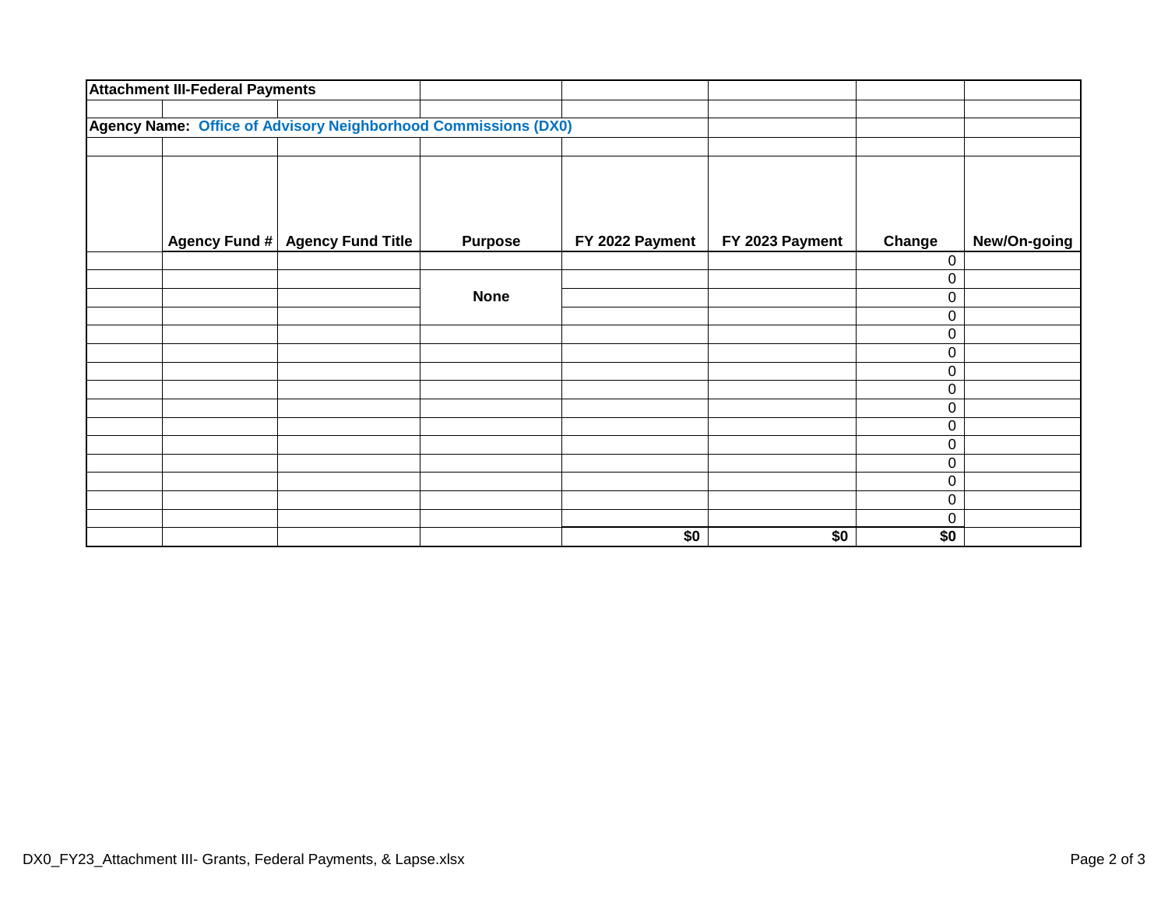| <b>Attachment III-Federal Payments</b> |                                                                |                |                 |                 |          |              |
|----------------------------------------|----------------------------------------------------------------|----------------|-----------------|-----------------|----------|--------------|
|                                        | Agency Name: Office of Advisory Neighborhood Commissions (DX0) |                |                 |                 |          |              |
|                                        |                                                                |                |                 |                 |          |              |
|                                        |                                                                |                |                 |                 |          |              |
|                                        |                                                                |                |                 |                 |          |              |
|                                        | Agency Fund # Agency Fund Title                                | <b>Purpose</b> | FY 2022 Payment | FY 2023 Payment | Change   | New/On-going |
|                                        |                                                                |                |                 |                 | 0        |              |
|                                        |                                                                |                |                 |                 | 0        |              |
|                                        |                                                                | <b>None</b>    |                 |                 | 0        |              |
|                                        |                                                                |                |                 |                 | 0        |              |
|                                        |                                                                |                |                 |                 | 0        |              |
|                                        |                                                                |                |                 |                 | 0        |              |
|                                        |                                                                |                |                 |                 | 0        |              |
|                                        |                                                                |                |                 |                 | 0        |              |
|                                        |                                                                |                |                 |                 | 0        |              |
|                                        |                                                                |                |                 |                 | 0        |              |
|                                        |                                                                |                |                 |                 | 0        |              |
|                                        |                                                                |                |                 |                 | 0        |              |
|                                        |                                                                |                |                 |                 | 0        |              |
|                                        |                                                                |                |                 |                 | 0        |              |
|                                        |                                                                |                | \$0             | $\sqrt{6}$      | 0<br>\$0 |              |